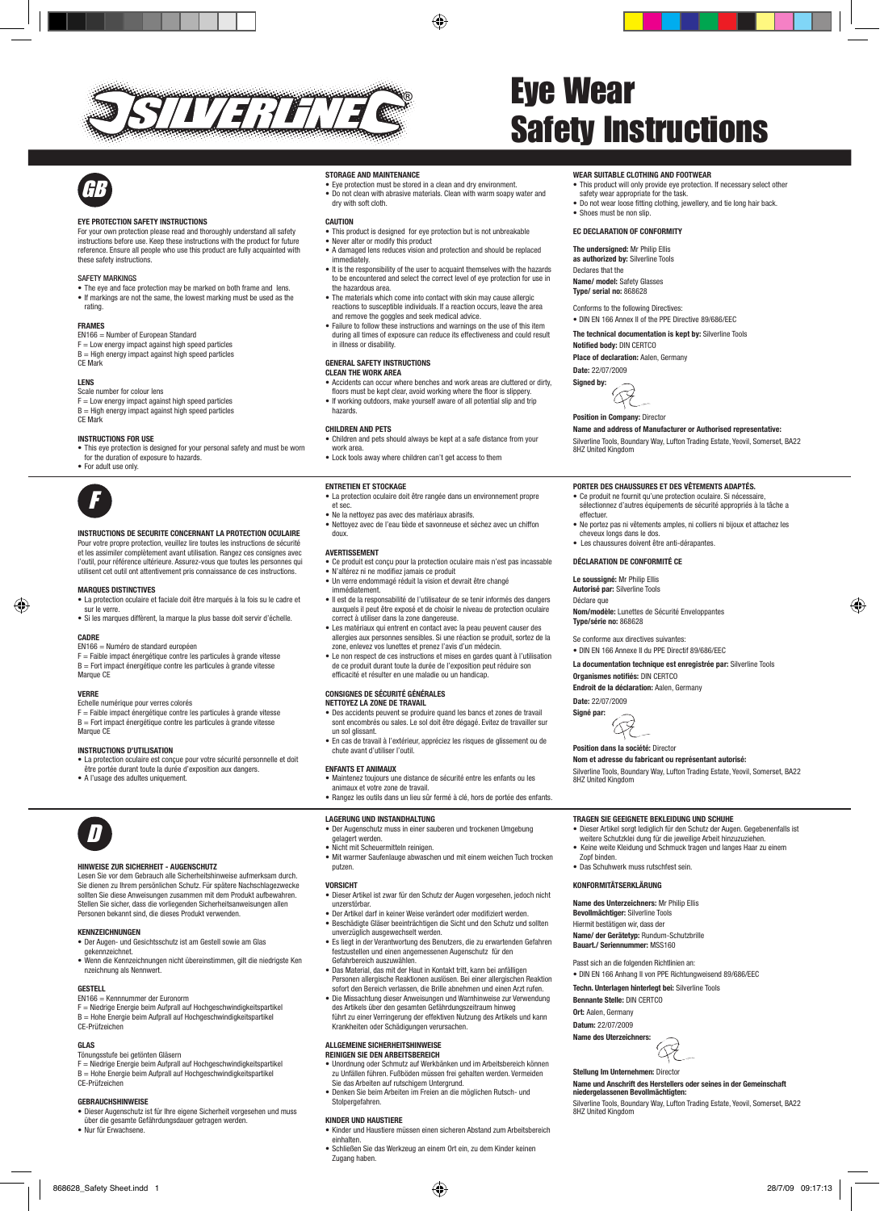⊕



# Eye Wear

## **GB**

#### EYE PROTECTION SAFETY INSTRUCTIONS

For your own protection please read and thoroughly understand all safety instructions before use. Keep these instructions with the product for future reference. Ensure all people who use this product are fully acquainted with<br>these safety instructions these safety instructions.

#### SAFETY MARKINGS

• The eye and face protection may be marked on both frame and lens. • If markings are not the same, the lowest marking must be used as the rating.

## .<br>FRAMES

EN166 = Number of European Standard  $F =$  Low energy impact against high speed particles

 $B = High energy impact against high speed particles$ CE Mark

#### **LENS**

Scale number for colour lens  $F = Low$  energy impact against high speed particles  $B = High energy impact against high speed particles$ CE Mark

## INSTRUCTIONS FOR USE GB

• This eye protection is designed for your personal safety and must be worn for the duration of exposure to hazards. • For adult use only.



### INSTRUCTIONS DE SECURITE CONCERNANT LA PROTECTION OCULAIRE

Pour votre propre protection, veuillez lire toutes les instructions de sécurité et les assimiler complètement avant utilisation. Rangez ces consignes avec l'outil, pour référence ultérieure. Assurez-vous que toutes les personnes qui<br>l'outil, pour référence ultérieure. Assurez-vous que toutes les personnes qui<br>utilisent cet eutil ent attentiuement pris connaissance de ces ins utilisent cet outil ont attentivement pris connaissance de ces instructions.

#### Marques distinctives

- • La protection oculaire et faciale doit être marqués à la fois su le cadre et sur le verre. • Si les marques diffèrent, la marque la plus basse doit servir d'échelle.
- **CADRE**

### EN166 = Numéro de standard européen

F = Faible impact énergétique contre les particules à grande vitesse B = Fort impact énergétique contre les particules à grande vitesse Marque CE

#### Verre

◈

Marque CE

Echelle numérique pour verres colorés<br>E – Faible impact épergétique contre l F = Faible impact énergétique contre les particules à grande vitesse = Fort impact énergétique contre les particules à grande vitesse

#### Instructions d'utilisation

- • La protection oculaire est conçue pour votre sécurité personnelle et doit
- étre portée durant toute la durée d'exposition aux dangers.<br>être portée durant toute la durée d'exposition aux dangers.

## • A l'usage des adultes uniquement.

## D

#### HINWEISE ZUR SICHERHEIT - AUGENSCHUTZ

Lesen Sie vor dem Gebrauch alle Sicherheitshinweise aufmerksam durch. Sie dienen zu Ihrem persönlichen Schutz. Für spätere Nachschlagezwecke sollten Sie diese Anweisungen zusammen mit dem Produkt aufbewahren. Stellen Sie sicher, dass die vorliegenden Sicherheitsanweisungen allen Personen bekannt sind, die dieses Produkt verwenden.

#### Kennzeichnungen

- • Der Augen- und Gesichtsschutz ist am Gestell sowie am Glas gekennzeichnet.
- • Wenn die Kennzeichnungen nicht übereinstimmen, gilt die niedrigste Ken nzeichnung als Nennwert.

#### **GESTELL**

#### EN166 = Kennnummer der Euronorm

F = Niedrige Energie beim Aufprall auf Hochgeschwindigkeitspartikel<br>B = Hohe Energie beim Aufprall auf Hochgeschwindigkeitspartikel CE-Prüfzeichen

#### Glas

#### Tönungsstufe bei getönten Gläsern

F = Niedrige Energie beim Aufprall auf Hochgeschwindigkeitspartikel B = Hohe Energie beim Aufprall auf Hochgeschwindigkeitspartikel CE-Prüfzeichen

#### Gebrauchshinweise

- • Dieser Augenschutz ist für Ihre eigene Sicherheit vorgesehen und muss über die gesamte Gefährdungsdauer getragen werde
- Nur für Erwachsene

#### Storage and maintenance

• Eye protection must be stored in a clean and dry environment. • Lye protection must be stored in a clean and dry environment.<br>• Do not clean with abrasive materials. Clean with warm soapy water and dry with soft cloth.

#### **CAUTION**

- This product is designed for eye protection but is not unbreakable • Never alter or modify this product
- • A damaged lens reduces vision and protection and should be replaced I immediately.
- It is the responsibility of the user to acquaint themselves with the hazards to be encountered and select the correct level of eye protection for use in the hazardous area.
- The materials which come into contact with skin may cause allergic reactions to susceptible individuals. If a reaction occurs, leave the area uuun ood<br>advice.<br>alaas aa
- and remove the goggles and seek medical advice. • Failure to follow these instructions and warnings on the use of this item during all times of exposure can reduce its effectiveness and could result in illness or disability.

#### General Safety instructions Clean the work area

- • Accidents can occur where benches and work areas are cluttered or dirty, floors must be kept clear, avoid working where the floor is slippery.
- If working outdoors, make yourself aware of all potential slip and trip hazards.

#### Children and pets

- Children and pets should always be kept at a safe distance from your work area.
- Lock tools away where children can't get access to them

#### Entretien et stockage

• La protection oculaire doit être rangée dans un environnement propre I et sec.

- • Ne la nettoyez pas avec des matériaux abrasifs. • Nettoyez avec de l'eau tiède et savonneuse et séchez avec un chiffon
- doux.

#### Avertissement

- Ce produit est conçu pour la protection oculaire mais n'est pas incassable<br>• Ce produit est conçu pour la protection oculaire mais n'est pas incassable • N'altérez ni ne modifiez jamais ce produit
- • Un verre endommagé réduit la vision et devrait être changé immédiatement. • Il est de la responsabilité de l'utilisateur de se tenir informés des dangers
- auxquels il peut être exposé et de choisir le niveau de protection oculaire correct à utiliser dans la zone dangereuse.
- • Les matériaux qui entrent en contact avec la peau peuvent causer des allergies aux personnes sensibles. Si une réaction se produit, sortez de la zone, enlevez vos lunettes et prenez l'avis d'un médecin.
- • Le non respect de ces instructions et mises en gardes quant à l'utilisation de ce produit durant toute la durée de l'exposition peut réduire son efficacité et résulter en une maladie ou un handicap.

#### Consignes de sécurité générales

NETTOYEZ LA ZONE DE TRAVAIL

- **NETTOYEZ LA ZONE DE TRAVAIL**<br>• Des accidents peuvent se produire quand les bancs et zones de travail sont encombrés ou sales. Le sol doit être dégagé. Evitez de travailler sur un sol glissant.
- • En cas de travail à l'extérieur, appréciez les risques de glissement ou de chute avant d'utiliser l'outil.

#### Enfants et animaux

- **ENFANTS ET ANIMAUX**<br>• Maintenez toujours une distance de sécurité entre les enfants ou les
- animaux et votre zone de travail. • Rangez les outils dans un lieu sûr fermé à clé, hors de portée des enfants.

#### Lagerung und Instandhaltung

- Der Augenschutz muss in einer sauberen und trockenen Umgebung<br>
nelanert werden gelagert werden.
- • Nicht mit Scheuermitteln reinigen.
- • Mit warmer Saufenlauge abwaschen und mit einem weichen Tuch trocken putzen.

#### **VORSICHT**

- • Dieser Artikel ist zwar für den Schutz der Augen vorgesehen, jedoch nicht unzerstörbar. • Der Artikel darf in keiner Weise verändert oder modifiziert werden.
- Beschädigte Gläser beeinträchtigen die Sicht und den Schutz und sollten
- unverzüglich ausgewechselt werden. • Es liegt in der Verantwortung des Benutzers, die zu erwartenden Gefahren festzustellen und einen angemessenen Augenschutz für den Gefahrbereich auszuwählen.
- • Das Material, das mit der Haut in Kontakt tritt, kann bei anfälligen Personen allergische Reaktionen auslösen. Bei einer allergischen Reaktion sofort den Bereich verlassen, die Brille abnehmen und einen Arzt rufen.
- • Die Missachtung dieser Anweisungen und Warnhinweise zur Verwendung
- des Artikels über den gesamten Gefährdungszeitraum hinweg führt zu einer Verringerung der effektiven Nutzung des Artikels und kann Krankheiten oder Schädigungen verursachen.

#### Allgemeine Sicherheitshinweise Reinigen Sie den Arbeitsbereich

- • Unordnung oder Schmutz auf Werkbänken und im Arbeitsbereich können zu Unfällen führen. Fußböden müssen frei gehalten werden. Vermeiden
- Sie das Arbeiten auf rutschigem Untergrund. • Denken Sie beim Arbeiten im Freien an die möglichen Rutsch- und
- Stolpergefahren

#### Kinder und Haustiere

• Kinder und Haustiere müssen einen sicheren Abstand zum Arbeitsbereich einhalten.

868628\_Safety Sheet.indd 1 28/7/09 09:17:13

• Schließen Sie das Werkzeug an einem Ort ein, zu dem Kinder keinen Zugang haben.

# Safety Instructions

#### WEAR SUITABLE CLOTHING AND FOOTWEAR

- This product will only provide eye protection. If necessary select other safety wear appropriate for the task.
- Do not wear loose fitting clothing, jewellery, and tie long hair back.

• DIN EN 166 Annex II of the PPE Directive 89/686/EEC The technical documentation is kept by: Silverline Tools

Name and address of Manufacturer or Authorised representative: Silverline Tools, Boundary Way, Lufton Trading Estate, Yeovil, Somerset, BA22

• Ne portez pas ni vêtements amples, ni colliers ni bijoux et attachez les

◈

Porter des chaussures et des vêtements adaptés. et produit ne fournit qu'une protection oculaire. Si néc sélectionnez d'autres équipements de sécurité appropriés à la tâche a

Nom/modèle: Lunettes de Sécurité Enveloppantes

• Shoes must be non slin

#### EC Declaration of conformity The undersigned: Mr Philip Ellis

as authorized by: Silverline Tools

Name/ model: Safety Glasses Type/ serial no: 868628 Conforms to the following Directives:

Notified body: DIN CERTCO Place of declaration: Aalen, Germany

**Position in Company: Director** 

cheveux longs dans le dos. • Les chaussures doivent être anti-dérapantes. Déclaration de conformité CE Le soussigné: Mr Philip Ellis Autorisé par: Silverline Tools

Date: 22/07/2009 Signed by:

8HZ United Kingdom

effectuer.

Déclare que

Type/série no: 868628 Se conforme aux directives suivantes: • DIN EN 166 Annexe II du PPE Directif 89/686/EEC La documentation technique est enregistrée par: Silverline Tools

Date: 22/07/2009 Signé par:

Zopf binden.

Organismes notifiés: DIN CERTCO Endroit de la déclaration: Aalen, Germany

Position dans la société: Director

H

• Das Schuhwerk muss rutschfest sein. Konformitätserklärung

Name des Unterzeichners: Mr Philip Ellis Bevollmächtiger: Silverline Tools Hiermit bestätigen wir, dass der Name/ der Gerätetyp: Rundum-Schutzbrille Bauart./ Seriennummer: MSS160 Passt sich an die folgenden Richtlinien an:

Bennante Stelle: DIN CERTCO Ort: Aalen, Germany Datum: 22/07/2009 Name des Uterzeichners:

Stellung Im Unternehmen: Director

8HZ United Kingdom

Nom et adresse du fabricant ou représentant autorisé:

Tragen Sie geeignete Bekleidung und Schuhe

• DIN EN 166 Anhang II von PPE Richtungweisend 89/686/EEC Techn. Unterlagen hinterlegt bei: Silverline Tools

59

Name und Anschrift des Herstellers oder seines in der Gemeinschaft niedergelassenen Bevollmächtigten: Silverline Tools, Boundary Way, Lufton Trading Estate, Yeovil, Somerset, BA22

Silverline Tools, Boundary Way, Lufton Trading Estate, Yeovil, Somerset, BA22 8HZ United Kingdom

• Dieser Artikel sorgt lediglich für den Schutz der Augen. Gegebenenfalls ist weitere Schutzklei dung für die jeweilige Arbeit hinzuzuziehen. • Keine weite Kleidung und Schmuck tragen und langes Haar zu einem

Declares that the